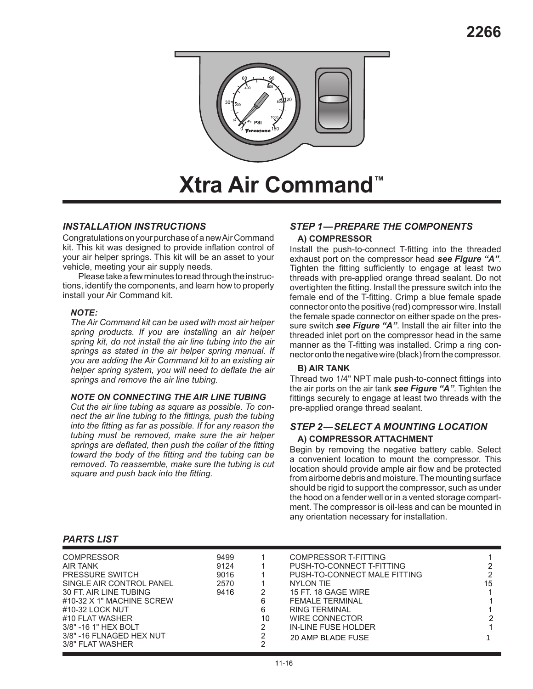

# **Xtra Air Command™**

# *INSTALLATION INSTRUCTIONS*

Congratulations on your purchase of a new Air Command kit. This kit was designed to provide inflation control of your air helper springs. This kit will be an asset to your vehicle, meeting your air supply needs.

Please take a few minutes to read through the instructions, identify the components, and learn how to properly install your Air Command kit.

#### *NOTE:*

*The Air Command kit can be used with most air helper spring products. If you are installing an air helper spring kit, do not install the air line tubing into the air springs as stated in the air helper spring manual. If you are adding the Air Command kit to an existing air helper spring system, you will need to deflate the air springs and remove the air line tubing.*

#### *NOTE ON CONNECTING THE AIR LINE TUBING*

*Cut the air line tubing as square as possible. To connect the air line tubing to the fittings, push the tubing into the fitting as far as possible. If for any reason the tubing must be removed, make sure the air helper springs are deflated, then push the collar of the fitting toward the body of the fitting and the tubing can be removed. To reassemble, make sure the tubing is cut square and push back into the fitting.*

# *STEP 1—PREPARE THE COMPONENTS*

# **A) COMPRESSOR**

Install the push-to-connect T-fitting into the threaded exhaust port on the compressor head *see Figure "A"*. Tighten the fitting sufficiently to engage at least two threads with pre-applied orange thread sealant. Do not overtighten the fitting. Install the pressure switch into the female end of the T-fitting. Crimp a blue female spade connector onto the positive (red) compressor wire. Install the female spade connector on either spade on the pressure switch *see Figure "A"*. Install the air filter into the threaded inlet port on the compressor head in the same manner as the T-fitting was installed. Crimp a ring connector onto the negative wire (black) from the compressor.

#### **B) AIR TANK**

Thread two 1/4" NPT male push-to-connect fittings into the air ports on the air tank *see Figure "A"*. Tighten the fittings securely to engage at least two threads with the pre-applied orange thread sealant.

# *STEP 2—SELECT A MOUNTING LOCATION* **A) COMPRESSOR ATTACHMENT**

Begin by removing the negative battery cable. Select a convenient location to mount the compressor. This location should provide ample air flow and be protected from airborne debris and moisture. The mounting surface should be rigid to support the compressor, such as under the hood on a fender well or in a vented storage compartment. The compressor is oil-less and can be mounted in any orientation necessary for installation.

### *PARTS LIST*

| <b>COMPRESSOR</b>         | 9499 |    | COMPRESSOR T-FITTING         |    |
|---------------------------|------|----|------------------------------|----|
| <b>AIR TANK</b>           | 9124 |    | PUSH-TO-CONNECT T-FITTING    | ົ  |
| PRESSURE SWITCH           | 9016 |    | PUSH-TO-CONNECT MALE FITTING |    |
| SINGLE AIR CONTROL PANEL  | 2570 |    | NYLON TIE                    | 15 |
| 30 FT. AIR LINE TUBING    | 9416 | 2  | 15 FT. 18 GAGE WIRE          |    |
| #10-32 X 1" MACHINE SCREW |      | 6  | <b>FEMALE TERMINAL</b>       |    |
| #10-32 LOCK NUT           |      | 6  | RING TERMINAL                |    |
| #10 FLAT WASHER           |      | 10 | WIRE CONNECTOR               |    |
| 3/8" - 16 1" HEX BOLT     |      | 2  | IN-LINE FUSE HOLDER          |    |
| 3/8" -16 FLNAGED HEX NUT  |      | 2  | 20 AMP BLADE FUSE            |    |
| 3/8" FLAT WASHER          |      | 2  |                              |    |
|                           |      |    |                              |    |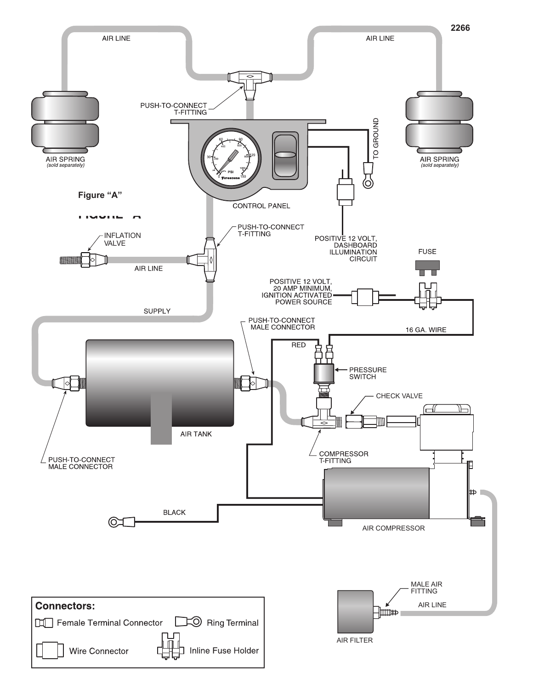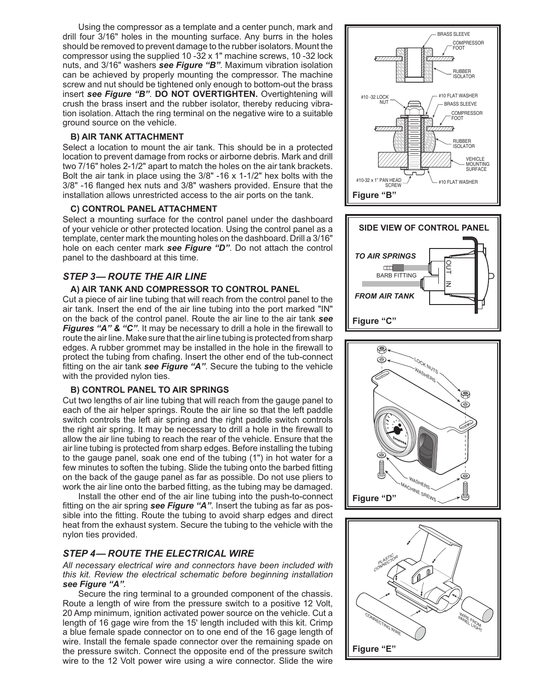Using the compressor as a template and a center punch, mark and drill four 3/16" holes in the mounting surface. Any burrs in the holes should be removed to prevent damage to the rubber isolators. Mount the compressor using the supplied 10 -32 x 1" machine screws, 10 -32 lock nuts, and 3/16" washers *see Figure "B"*. Maximum vibration isolation can be achieved by properly mounting the compressor. The machine screw and nut should be tightened only enough to bottom-out the brass insert *see Figure "B"*. **DO NOT OVERTIGHTEN.** Overtightening will crush the brass insert and the rubber isolator, thereby reducing vibration isolation. Attach the ring terminal on the negative wire to a suitable ground source on the vehicle.

#### **B) AIR TANK ATTACHMENT**

Select a location to mount the air tank. This should be in a protected location to prevent damage from rocks or airborne debris. Mark and drill two 7/16" holes 2-1/2" apart to match the holes on the air tank brackets. Bolt the air tank in place using the 3/8" -16 x 1-1/2" hex bolts with the 3/8" -16 flanged hex nuts and 3/8" washers provided. Ensure that the installation allows unrestricted access to the air ports on the tank.

#### **C) CONTROL PANEL ATTACHMENT**

Select a mounting surface for the control panel under the dashboard of your vehicle or other protected location. Using the control panel as a template, center mark the mounting holes on the dashboard. Drill a 3/16" hole on each center mark *see Figure "D"*. Do not attach the control panel to the dashboard at this time.

## *STEP 3— ROUTE THE AIR LINE*

#### **A) AIR TANK AND COMPRESSOR TO CONTROL PANEL**

Cut a piece of air line tubing that will reach from the control panel to the air tank. Insert the end of the air line tubing into the port marked "IN" on the back of the control panel. Route the air line to the air tank *see Figures "A" & "C"*. It may be necessary to drill a hole in the firewall to route the air line. Make sure that the air line tubing is protected from sharp edges. A rubber grommet may be installed in the hole in the firewall to protect the tubing from chafing. Insert the other end of the tub-connect fitting on the air tank *see Figure "A"*. Secure the tubing to the vehicle with the provided nylon ties.

#### **B) CONTROL PANEL TO AIR SPRINGS**

Cut two lengths of air line tubing that will reach from the gauge panel to each of the air helper springs. Route the air line so that the left paddle switch controls the left air spring and the right paddle switch controls the right air spring. It may be necessary to drill a hole in the firewall to allow the air line tubing to reach the rear of the vehicle. Ensure that the air line tubing is protected from sharp edges. Before installing the tubing to the gauge panel, soak one end of the tubing (1") in hot water for a few minutes to soften the tubing. Slide the tubing onto the barbed fitting on the back of the gauge panel as far as possible. Do not use pliers to work the air line onto the barbed fitting, as the tubing may be damaged.

Install the other end of the air line tubing into the push-to-connect fitting on the air spring *see Figure "A"*. Insert the tubing as far as possible into the fitting. Route the tubing to avoid sharp edges and direct heat from the exhaust system. Secure the tubing to the vehicle with the nylon ties provided.

# *STEP 4— ROUTE THE ELECTRICAL WIRE*

*All necessary electrical wire and connectors have been included with this kit. Review the electrical schematic before beginning installation see Figure "A".*

Secure the ring terminal to a grounded component of the chassis. Route a length of wire from the pressure switch to a positive 12 Volt, 20 Amp minimum, ignition activated power source on the vehicle. Cut a length of 16 gage wire from the 15' length included with this kit. Crimp a blue female spade connector on to one end of the 16 gage length of wire. Install the female spade connector over the remaining spade on the pressure switch. Connect the opposite end of the pressure switch wire to the 12 Volt power wire using a wire connector. Slide the wire